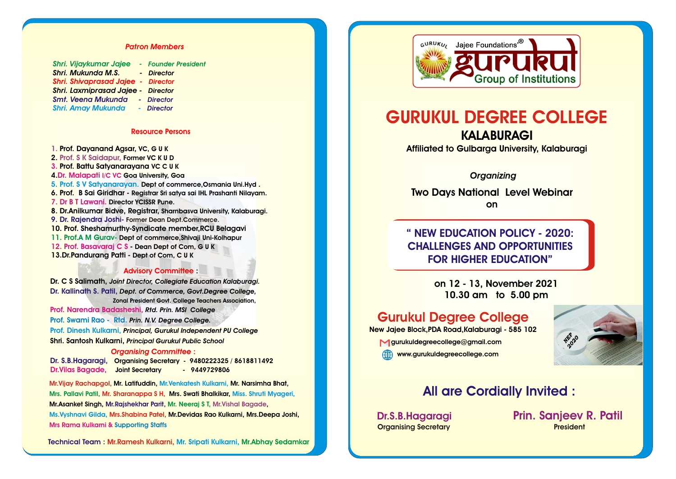#### *Patron Members*

| Shri. Vijaykumar Jajee - Founder President |            |
|--------------------------------------------|------------|
| <b>Shri. Mukunda M.S.</b>                  | - Director |
| <b>Shri. Shivaprasad Jajee - Director</b>  |            |
| <b>Shri. Laxmiprasad Jajee - Director</b>  |            |
| <b>Smt. Veena Mukunda - Director</b>       |            |
| <b>Shri. Amay Mukunda</b>                  | - Director |
|                                            |            |

#### **Resource Persons**

**1. Prof. Dayanand Agsar, VC, G U K Former VC K U D 2. Prof. S K Saidapur, Prof. Battu Satyanarayana VC C U K 3. Goa University, Goa 4. Dr. Malapati I/C VC Dept of commerce,Osmania Uni.Hyd . 5. Prof. S V Satyanarayan. 6. Prof. B Sai Giridhar - Registrar Sri satya sai IHL Prashanti Nilayam. Director YCISSR Pune. 7. Dr B T Lawani. 8. Dr.Anilkumar Bidve, Registrar, Sharnbasva University, Kalaburagi. 10. Prof. Sheshamurthy-Syndicate member,RCU Belagavi Dept of commerce,Shivaji Uni-Kolhapur 11. Prof.A M Gurav- - Dean Dept of Com, G U K 12. Prof. Basavaraj C S 13.Dr.Pandurang Patti - Dept of Com, C U K 9. Dr. Rajendra Joshi- Former Dean Dept.Commerce.**

#### **: Advisory Committee**

**Dr. C S Salimath,** *Joint Director, Collegiate Education Kalaburagi. Dept. of Commerce, Govt.Degree College,* **Dr. Kallinath S. Patil, Zonal President Govt. College Teachers Association,**

*Rtd. Prin. MSI College* **Prof. Narendra Badasheshi,**

*Prin. N.V. Degree College.* **Prof. Swami Rao - Rtd.**

**Prof. Dinesh Kulkarni, Principal, Gurukul Independent PU College** 

**Shri. Santosh Kulkarni,** *Principal Gurukul Public School*

#### *Organising Committee* **:**

**Organising Secretary - 9480222325 / 8618811492 Dr. S.B.Hagaragi, Joint Secretary - 9449729806 Dr.Vilas Bagade,**

**Mr.Vijay Rachapgol, Mr. Latifuddin, Mr.V**enkatesh Kulkarni, **Mr. Narsimha Bhat, Mrs. Pallavi Patil, Mr. Sharanappa S H, Mrs. <b>Swati Bhalkikar, M**iss. Shruti Myageri, **Mrs.Shabina Patel, Mr.Devidas Rao Kulkarni, Mrs.Deepa Joshi, Ms.Vyshnavi Gilda, Mr.Asanket Singh, , Mr.Rajshekhar Parit, Mr. Neeraj S T, Mr.Vishal Bagade Mrs Rama Kulkarni & Supporting Staffs**

**Technical Team : Mr.Ramesh Kulkarni, Mr. Sripati Kulkarni, Mr.Abhay Sedamkar**



# **GURUKUL DEGREE COLLEGE**

**KALABURAGI Affiliated to Gulbarga University, Kalaburagi**

## *Organizing*

**Two Days National Level Webinar on**

**" NEW EDUCATION POLICY - 2020: CHALLENGES AND OPPORTUNITIES FOR HIGHER EDUCATION"**

> **on 12 - 13, November 2021 10.30 am to 5.00 pm**

# **Gurukul Degree College**

**New Jajee Block,PDA Road,Kalaburagi - 585 102 gurukuldegreecollege@gmail.com WWW.gurukuldegreecollege.com** 



# **All are Cordially Invited :**

**Organising Secretary President** 

**Dr.S.B.Hagaragi Prin. Sanjeev R. Patil**